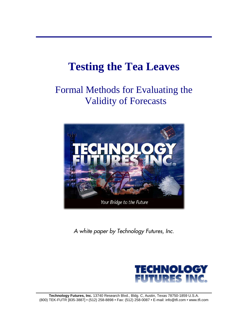# **Testing the Tea Leaves**

## Formal Methods for Evaluating the Validity of Forecasts



*A white paper by Technology Futures, Inc.* 

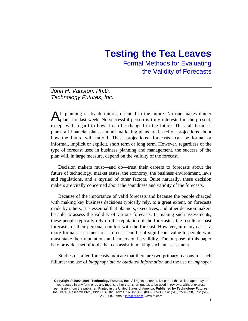### **Testing the Tea Leaves**

Formal Methods for Evaluating the Validity of Forecasts

#### *John H. Vanston, Ph.D. Technology Futures, Inc.*

All planning is, by definition, oriented in the future. No one makes dinner plans for last week. No successful person is truly interested in the present, plans for last week. No successful person is truly interested in the present, except with regard to how it can be changed in the future. Thus, all business plans, all financial plans, and all marketing plans are based on projections about how the future will unfold. These projections—forecasts—can be formal or informal, implicit or explicit, short term or long term. However, regardless of the type of forecast used in business planning and management, the success of the plan will, in large measure, depend on the validity of the forecast.

Decision makers must—and do—trust their careers to forecasts about the future of technology, market tastes, the economy, the business environment, laws and regulations, and a myriad of other factors. Quite naturally, these decision makers are vitally concerned about the soundness and validity of the forecasts.

Because of the importance of valid forecasts and because the people charged with making key business decisions typically rely, to a great extent, on forecasts made by others, it is essential that planners, executives, and other decision makers be able to assess the validity of various forecasts. In making such assessments, these people typically rely on the reputation of the forecaster, the results of past forecasts, or their personal comfort with the forecast. However, in many cases, a more formal assessment of a forecast can be of significant value to people who must stake their reputations and careers on its validity. The purpose of this paper is to provide a set of tools that can assist in making such an assessment.

Studies of failed forecasts indicate that there are two primary reasons for such failures: the use of *inappropriate or outdated information* and the use of *improper* 

**\_\_\_\_\_\_\_\_\_\_\_\_\_\_\_\_\_\_\_\_\_\_\_\_\_\_\_\_\_\_\_\_\_\_\_\_\_\_\_\_\_\_\_\_\_\_\_\_\_\_\_\_\_\_\_\_\_\_\_\_\_\_\_\_\_\_\_\_\_\_\_\_\_\_\_\_\_\_\_\_\_\_\_\_\_\_\_\_**

**Copyright © 2000, 2005, Technology Futures, Inc.** All rights reserved. No part of this white paper may be reproduced in any form or by any means, other than short quotes to be used in reviews, without express permission from the publisher. Printed in the United States of America. **Published by Technology Futures, Inc.** 13740 Research Blvd., Bldg C, Austin, Texas 78750-1859, (800) 835-3887 or (512) 258-8898, Fax: (512) 258-0087, email: info@tfi.com, www.tfi.com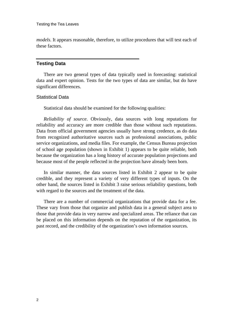*models*. It appears reasonable, therefore, to utilize procedures that will test each of these factors.

#### **Testing Data**

There are two general types of data typically used in forecasting: statistical data and expert opinion. Tests for the two types of data are similar, but do have significant differences.

#### Statistical Data

Statistical data should be examined for the following qualities:

*Reliability of source*. Obviously, data sources with long reputations for reliability and accuracy are more credible than those without such reputations. Data from official government agencies usually have strong credence, as do data from recognized authoritative sources such as professional associations, public service organizations, and media files. For example, the Census Bureau projection of school age population (shown in Exhibit 1) appears to be quite reliable, both because the organization has a long history of accurate population projections and because most of the people reflected in the projection have already been born.

In similar manner, the data sources listed in Exhibit 2 appear to be quite credible, and they represent a variety of very different types of inputs. On the other hand, the sources listed in Exhibit 3 raise serious reliability questions, both with regard to the sources and the treatment of the data.

There are a number of commercial organizations that provide data for a fee. These vary from those that organize and publish data in a general subject area to those that provide data in very narrow and specialized areas. The reliance that can be placed on this information depends on the reputation of the organization, its past record, and the credibility of the organization's own information sources.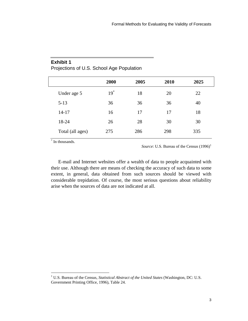|                  | 2000   | 2005 | 2010 | 2025 |  |
|------------------|--------|------|------|------|--|
| Under age 5      | $19^*$ | 18   | 20   | 22   |  |
| $5 - 13$         | 36     | 36   | 36   | 40   |  |
| $14 - 17$        | 16     | 17   | 17   | 18   |  |
| 18-24            | 26     | 28   | 30   | 30   |  |
| Total (all ages) | 275    | 286  | 298  | 335  |  |
|                  |        |      |      |      |  |

#### **Exhibit 1**

Projections of U.S. School Age Population

\* In thousands.

*Source*: U.S. Bureau of the Census  $(1996)^1$  $(1996)^1$  $(1996)^1$ 

E-mail and Internet websites offer a wealth of data to people acquainted with their use. Although there are means of checking the accuracy of such data to some extent, in general, data obtained from such sources should be viewed with considerable trepidation. Of course, the most serious questions about reliability arise when the sources of data are not indicated at all.

<span id="page-4-0"></span> 1 U.S. Bureau of the Census, *Statistical Abstract of the United States* (Washington, DC: U.S. Government Printing Office, 1996), Table 24.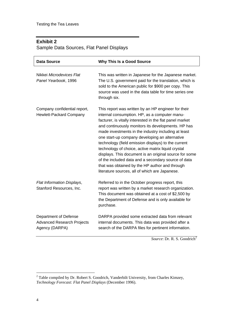#### **Exhibit 2**

Sample Data Sources, Flat Panel Displays

| Data Source                                                                  | <b>Why This Is a Good Source</b>                                                                                                                                                                                                                                                                                                                                                                                                                                                                                                                                                                                                                                  |
|------------------------------------------------------------------------------|-------------------------------------------------------------------------------------------------------------------------------------------------------------------------------------------------------------------------------------------------------------------------------------------------------------------------------------------------------------------------------------------------------------------------------------------------------------------------------------------------------------------------------------------------------------------------------------------------------------------------------------------------------------------|
| Nikkei Microdevices Flat<br>Panel Yearbook, 1996                             | This was written in Japanese for the Japanese market.<br>The U.S. government paid for the translation, which is<br>sold to the American public for \$900 per copy. This<br>source was used in the data table for time series one<br>through six.                                                                                                                                                                                                                                                                                                                                                                                                                  |
| Company confidential report,<br>Hewlett-Packard Company                      | This report was written by an HP engineer for their<br>internal consumption. HP, as a computer manu-<br>facturer, is vitally interested in the flat panel market<br>and continuously monitors its developments. HP has<br>made investments in the industry including at least<br>one start-up company developing an alternative<br>technology (field emission displays) to the current<br>technology of choice, active matrix liquid crystal<br>displays. This document is an original source for some<br>of the included data and a secondary source of data<br>that was obtained by the HP author and through<br>literature sources, all of which are Japanese. |
| Flat Information Displays,<br>Stanford Resources, Inc.                       | Referred to in the October progress report, this<br>report was written by a market research organization.<br>This document was obtained at a cost of \$2,500 by<br>the Department of Defense and is only available for<br>purchase.                                                                                                                                                                                                                                                                                                                                                                                                                               |
| Department of Defense<br><b>Advanced Research Projects</b><br>Agency (DARPA) | DARPA provided some extracted data from relevant<br>internal documents. This data was provided after a<br>search of the DARPA files for pertinent information.                                                                                                                                                                                                                                                                                                                                                                                                                                                                                                    |

*Source*: Dr. R. S. Goodrich<sup>[2](#page-5-0)</sup>

<span id="page-5-0"></span><sup>&</sup>lt;sup>2</sup> Table compiled by Dr. Robert S. Goodrich, Vanderbilt University, from Charles Kimzey, *Technology Forecast: Flat Panel Displays* (December 1996).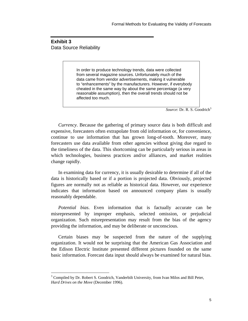#### **Exhibit 3**  Data Source Reliability

-

In order to produce technology trends, data were collected from several magazine sources. Unfortunately much of the data came from vendor advertisements, making it vulnerable to "enhancements" by the manufacturers. However, if everybody cheated in the same way by about the same percentage (a very reasonable assumption), then the overall trends should not be affected too much.

*Source*: Dr. R. S. Goodrich<sup>[3](#page-6-0)</sup>

*Currency*. Because the gathering of primary source data is both difficult and expensive, forecasters often extrapolate from old information or, for convenience, continue to use information that has grown long-of-tooth. Moreover, many forecasters use data available from other agencies without giving due regard to the timeliness of the data. This shortcoming can be particularly serious in areas in which technologies, business practices and/or alliances, and market realities change rapidly.

In examining data for currency, it is usually desirable to determine if all of the data is historically based or if a portion is projected data. Obviously, projected figures are normally not as reliable as historical data. However, our experience indicates that information based on announced company plans is usually reasonably dependable.

*Potential bias*. Even information that is factually accurate can be misrepresented by improper emphasis, selected omission, or prejudicial organization. Such misrepresentation may result from the bias of the agency providing the information, and may be deliberate or unconscious.

Certain biases may be suspected from the nature of the supplying organization. It would not be surprising that the American Gas Association and the Edison Electric Institute presented different pictures founded on the same basic information. Forecast data input should always be examined for natural bias.

<span id="page-6-0"></span> $3$  Compiled by Dr. Robert S. Goodrich, Vanderbilt University, from Ivan Milos and Bill Peter, *Hard Drives on the Move* (December 1996).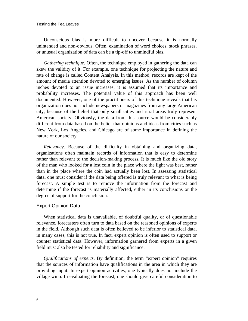Unconscious bias is more difficult to uncover because it is normally unintended and non-obvious. Often, examination of word choices, stock phrases, or unusual organization of data can be a tip-off to unmindful bias.

*Gathering technique*. Often, the technique employed in gathering the data can skew the validity of it. For example, one technique for projecting the nature and rate of change is called Content Analysis. In this method, records are kept of the amount of media attention devoted to emerging issues. As the number of column inches devoted to an issue increases, it is assumed that its importance and probability increases. The potential value of this approach has been well documented. However, one of the practitioners of this technique reveals that his organization does not include newspapers or magazines from any large American city, because of the belief that only small cities and rural areas truly represent American society. Obviously, the data from this source would be considerably different from data based on the belief that opinions and ideas from cities such as New York, Los Angeles, and Chicago are of some importance in defining the nature of our society.

*Relevancy*. Because of the difficulty in obtaining and organizing data, organizations often maintain records of information that is easy to determine rather than relevant to the decision-making process. It is much like the old story of the man who looked for a lost coin in the place where the light was best, rather than in the place where the coin had actually been lost. In assessing statistical data, one must consider if the data being offered is truly relevant to what is being forecast. A simple test is to remove the information from the forecast and determine if the forecast is materially affected, either in its conclusions or the degree of support for the conclusion.

#### Expert Opinion Data

When statistical data is unavailable, of doubtful quality, or of questionable relevance, forecasters often turn to data based on the reasoned opinions of experts in the field. Although such data is often believed to be inferior to statistical data, in many cases, this is not true. In fact, expert opinion is often used to support or counter statistical data. However, information garnered from experts in a given field must also be tested for reliability and significance.

*Qualifications of experts*. By definition, the term "expert opinion" requires that the sources of information have qualifications in the area in which they are providing input. In expert opinion activities, one typically does not include the village wino. In evaluating the forecast, one should give careful consideration to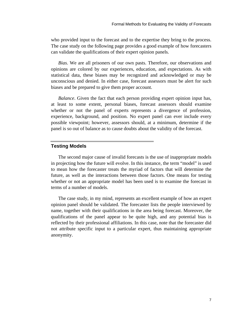who provided input to the forecast and to the expertise they bring to the process. The case study on the following page provides a good example of how forecasters can validate the qualifications of their expert opinion panels.

*Bias*. We are all prisoners of our own pasts. Therefore, our observations and opinions are colored by our experiences, education, and expectations. As with statistical data, these biases may be recognized and acknowledged or may be unconscious and denied. In either case, forecast assessors must be alert for such biases and be prepared to give them proper account.

*Balance*. Given the fact that each person providing expert opinion input has, at least to some extent, personal biases, forecast assessors should examine whether or not the panel of experts represents a divergence of profession, experience, background, and position. No expert panel can ever include every possible viewpoint; however, assessors should, at a minimum, determine if the panel is so out of balance as to cause doubts about the validity of the forecast.

#### **Testing Models**

The second major cause of invalid forecasts is the use of inappropriate models in projecting how the future will evolve. In this instance, the term "model" is used to mean how the forecaster treats the myriad of factors that will determine the future, as well as the interactions between those factors. One means for testing whether or not an appropriate model has been used is to examine the forecast in terms of a number of models.

The case study, in my mind, represents an excellent example of how an expert opinion panel should be validated. The forecaster lists the people interviewed by name, together with their qualifications in the area being forecast. Moreover, the qualifications of the panel appear to be quite high, and any potential bias is reflected by their professional affiliations. In this case, note that the forecaster did not attribute specific input to a particular expert, thus maintaining appropriate anonymity.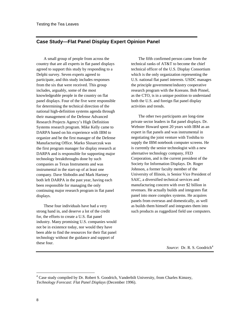#### **Case Study—Flat Panel Display Expert Opinion Panel**

A small group of people from across the country that are all experts in flat panel displays agreed to support this study by responding to a Delphi survey. Seven experts agreed to participate, and this study includes responses from the six that were received. This group includes, arguably, some of the most knowledgeable people in the country on flat panel displays. Four of the five were responsible for determining the technical direction of the national high-definition systems agenda through their management of the Defense Advanced Research Projects Agency's High Definition Systems research program. Mike Kelly came to DARPA based on his experience with IBM to organize and be the first manager of the Defense Manufacturing Office. Marko Slusarczuk was the first program manager for display research at DARPA and is responsible for supporting major technology breakthroughs done by such companies as Texas Instruments and was instrumental in the start-up of at least one company. Dave Slobodin and Mark Hartney both left DARPA in the past year, having each been responsible for managing the only continuing major research program in flat panel displays.

These four individuals have had a very strong hand in, and deserve a lot of the credit for, the efforts to create a U.S. flat panel industry. Many promising U.S. companies would not be in existence today, nor would they have been able to find the resources for their flat panel technology without the guidance and support of these four.

The fifth confirmed person came from the technical ranks of AT&T to become the chief technical officer of the U.S. Display Consortium which is the only organization representing the U.S. national flat panel interests. USDC manages the principle government/industry cooperative research program with the Koreans. Bob Pinnel, as the CTO, is in a unique position to understand both the U.S. and foreign flat panel display activities and trends.

The other two participants are long-time private sector leaders in flat panel displays. Dr. Webster Howard spent 20 years with IBM as an expert in flat panels and was instrumental in negotiating the joint venture with Toshiba to supply the IBM notebook computer screens. He is currently the senior technologist with a new alternative technology company, FED Corporation, and is the current president of the Society for Information Displays. Dr. Roger Johnson, a former faculty member of the University of Illinois, is Senior Vice President of SAIC, a diversified technical services and manufacturing concern with over \$2 billion in revenues. He actually builds and integrates flat panel into more complex systems. He acquires panels from overseas and domestically, as well as builds them himself and integrates them into such products as ruggedized field use computers.

*Source*: Dr. R. S. Goodrich<sup>[4](#page-9-0)</sup>

<span id="page-9-0"></span> 4 Case study compiled by Dr. Robert S. Goodrich, Vanderbilt University, from Charles Kimzey, *Technology Forecast: Flat Panel Displays* (December 1996).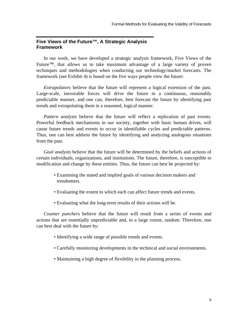#### **Five Views of the Future™, A Strategic Analysis Framework**

In our work, we have developed a strategic analysis framework, Five Views of the Future™, that allows us to take maximum advantage of a large variety of proven techniques and methodologies when conducting our technology/market forecasts. The framework (see Exhibit 4) is based on the five ways people view the future:

*Extrapolators* believe that the future will represent a logical extension of the past. Large-scale, inexorable forces will drive the future in a continuous, reasonably predictable manner, and one can, therefore, best forecast the future by identifying past trends and extrapolating them in a reasoned, logical manner.

*Pattern analysts* believe that the future will reflect a replication of past events. Powerful feedback mechanisms in our society, together with basic human drives, will cause future trends and events to occur in identifiable cycles and predictable patterns. Thus, one can best address the future by identifying and analyzing analogous situations from the past.

*Goal analysts* believe that the future will be determined by the beliefs and actions of certain individuals, organizations, and institutions. The future, therefore, is susceptible to modification and change by these entities. Thus, the future can best be projected by:

- Examining the stated and implied goals of various decision makers and trendsetters.
- Evaluating the extent to which each can affect future trends and events.
- Evaluating what the long-term results of their actions will be.

*Counter punchers* believe that the future will result from a series of events and actions that are essentially unpredictable and, to a large extent, random. Therefore, one can best deal with the future by:

- Identifying a wide range of possible trends and events.
- Carefully monitoring developments in the technical and social environments.
- Maintaining a high degree of flexibility in the planning process.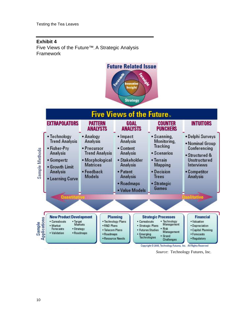#### **Exhibit 4**  Five Views of the Future™, A Strategic Analysis Framework





*Source*: Technology Futures, Inc.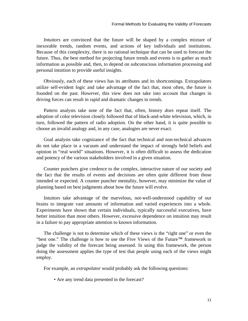*Intuitors* are convinced that the future will be shaped by a complex mixture of inexorable trends, random events, and actions of key individuals and institutions. Because of this complexity, there is no rational technique that can be used to forecast the future. Thus, the best method for projecting future trends and events is to gather as much information as possible and, then, to depend on subconscious information processing and personal intuition to provide useful insights.

Obviously, each of these views has its attributes and its shortcomings. Extrapolators utilize self-evident logic and take advantage of the fact that, most often, the future is founded on the past. However, this view does not take into account that changes in driving forces can result in rapid and dramatic changes in trends.

Pattern analysts take note of the fact that, often, history *does* repeat itself. The adoption of color television closely followed that of black-and-white television, which, in turn, followed the pattern of radio adoption. On the other hand, it is quite possible to choose an invalid analogy and, in any case, analogies are never exact.

Goal analysts take cognizance of the fact that technical and non-technical advances do not take place in a vacuum and understand the impact of strongly held beliefs and opinion in "real world" situations. However, it is often difficult to assess the dedication and potency of the various stakeholders involved in a given situation.

Counter punchers give credence to the complex, interactive nature of our society and the fact that the results of events and decisions are often quite different from those intended or expected. A counter puncher mentality, however, may minimize the value of planning based on best judgments about how the future will evolve.

Intuitors take advantage of the marvelous, not-well-understood capability of our brains to integrate vast amounts of information and varied experiences into a whole. Experiments have shown that certain individuals, typically successful executives, have better intuition than most others. However, excessive dependence on intuition may result in a failure to pay appropriate attention to known information.

The challenge is not to determine which of these views is the "right one" or even the "best one." The challenge is how to use the Five Views of the Future™ framework to judge the validity of the forecast being assessed. In using this framework, the person doing the assessment applies the type of test that people using each of the views might employ.

For example, an *extrapolator* would probably ask the following questions:

• Are any trend data presented in the forecast?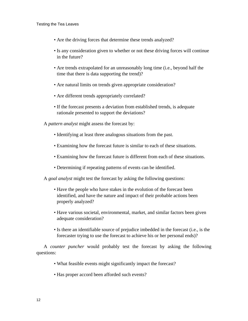- Are the driving forces that determine these trends analyzed?
- Is any consideration given to whether or not these driving forces will continue in the future?
- Are trends extrapolated for an unreasonably long time (i.e., beyond half the time that there is data supporting the trend)?
- Are natural limits on trends given appropriate consideration?
- Are different trends appropriately correlated?
- If the forecast presents a deviation from established trends, is adequate rationale presented to support the deviations?

A *pattern analyst* might assess the forecast by:

- Identifying at least three analogous situations from the past.
- Examining how the forecast future is similar to each of these situations.
- Examining how the forecast future is different from each of these situations.
- Determining if repeating patterns of events can be identified.

A *goal analyst* might test the forecast by asking the following questions:

- Have the people who have stakes in the evolution of the forecast been identified, and have the nature and impact of their probable actions been properly analyzed?
- Have various societal, environmental, market, and similar factors been given adequate consideration?
- Is there an identifiable source of prejudice imbedded in the forecast (i.e., is the forecaster trying to use the forecast to achieve his or her personal ends)?

A *counter puncher* would probably test the forecast by asking the following questions:

- What feasible events might significantly impact the forecast?
- Has proper accord been afforded such events?